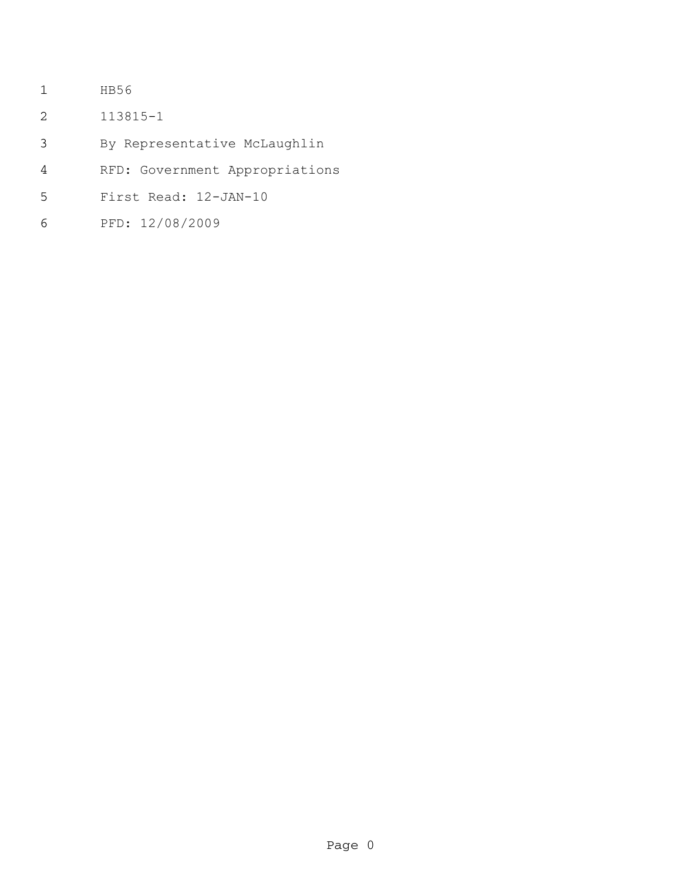- HB56
- 113815-1
- By Representative McLaughlin
- RFD: Government Appropriations
- First Read: 12-JAN-10
- PFD: 12/08/2009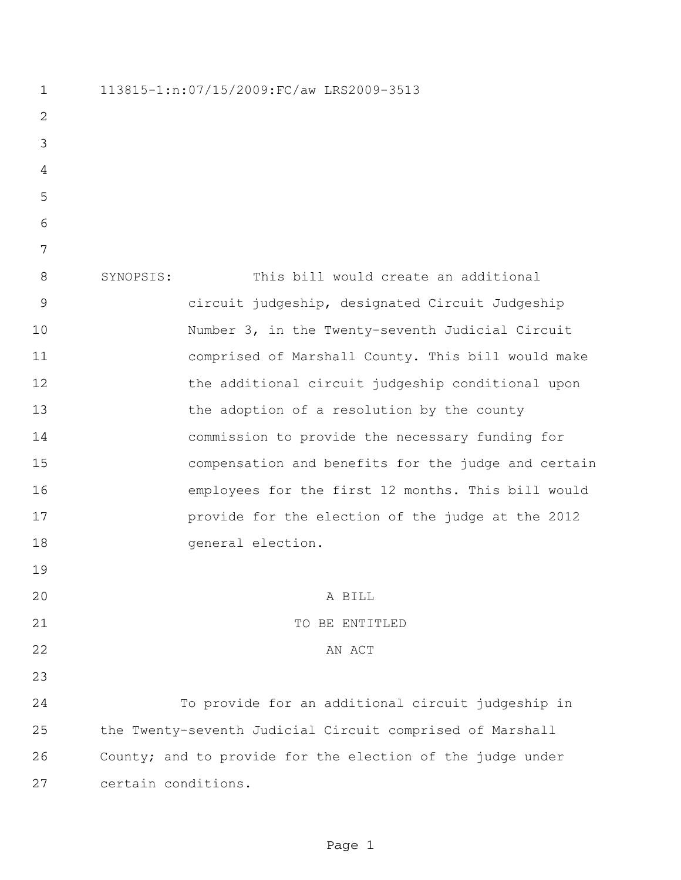113815-1:n:07/15/2009:FC/aw LRS2009-3513 SYNOPSIS: This bill would create an additional circuit judgeship, designated Circuit Judgeship Number 3, in the Twenty-seventh Judicial Circuit comprised of Marshall County. This bill would make the additional circuit judgeship conditional upon the adoption of a resolution by the county commission to provide the necessary funding for compensation and benefits for the judge and certain employees for the first 12 months. This bill would provide for the election of the judge at the 2012 general election. A BILL 21 TO BE ENTITLED 22 AN ACT To provide for an additional circuit judgeship in the Twenty-seventh Judicial Circuit comprised of Marshall County; and to provide for the election of the judge under certain conditions.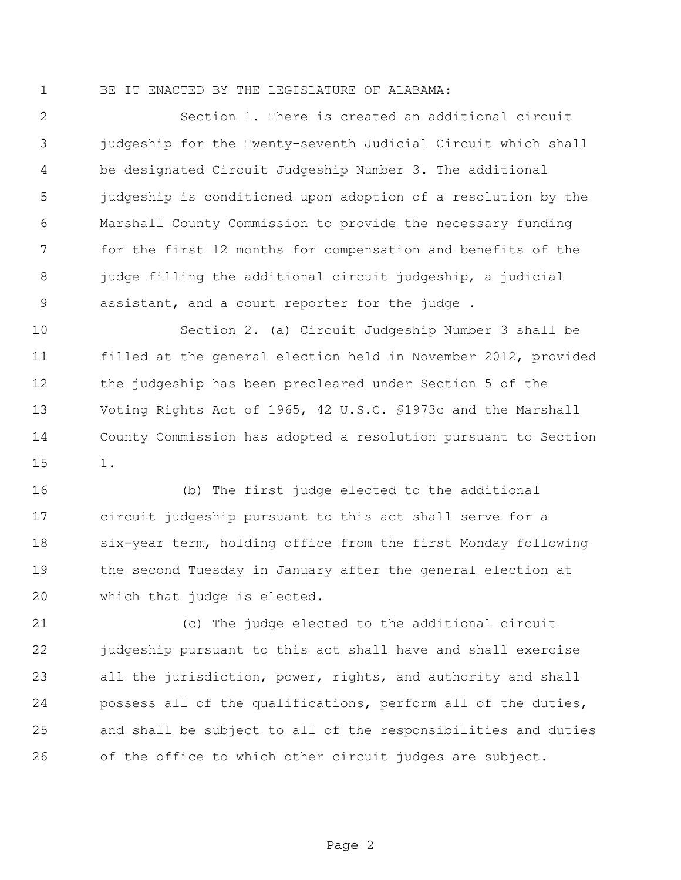## BE IT ENACTED BY THE LEGISLATURE OF ALABAMA:

 Section 1. There is created an additional circuit judgeship for the Twenty-seventh Judicial Circuit which shall be designated Circuit Judgeship Number 3. The additional judgeship is conditioned upon adoption of a resolution by the Marshall County Commission to provide the necessary funding for the first 12 months for compensation and benefits of the 8 judge filling the additional circuit judgeship, a judicial assistant, and a court reporter for the judge .

 Section 2. (a) Circuit Judgeship Number 3 shall be filled at the general election held in November 2012, provided the judgeship has been precleared under Section 5 of the Voting Rights Act of 1965, 42 U.S.C. §1973c and the Marshall County Commission has adopted a resolution pursuant to Section 1.

 (b) The first judge elected to the additional circuit judgeship pursuant to this act shall serve for a six-year term, holding office from the first Monday following the second Tuesday in January after the general election at which that judge is elected.

 (c) The judge elected to the additional circuit judgeship pursuant to this act shall have and shall exercise all the jurisdiction, power, rights, and authority and shall possess all of the qualifications, perform all of the duties, and shall be subject to all of the responsibilities and duties of the office to which other circuit judges are subject.